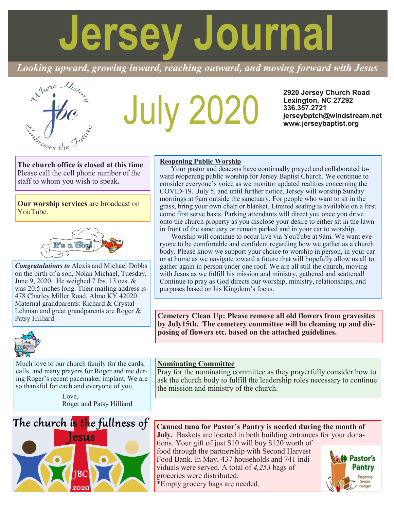# **Jersey Journal**

*Looking upward, growing inward, reaching outward, and moving forward with Jesus*



# **July 2020**

**2920 Jersey Church Road Lexington, NC 27292 336.357.2721 jerseybptch@windstream.net www.jerseybaptist.org**

**The church office is closed at this time**. Please call the cell phone number of the staff to whom you wish to speak.

**Our worship services** are broadcast on YouTube.



*Congratulations to* Alexis and Michael Dobbs on the birth of a son, Nolan Michael, Tuesday, June 9, 2020. He weighed 7 lbs. 13 ozs. & was 20.5 inches long. Their mailing address is 478 Charley Miller Road, Almo KY 42020. Maternal grandparents: Richard & Crystal Lehman and great grandparents are Roger & Patsy Hilliard.



Much love to our church family for the cards, calls, and many prayers for Roger and me during Roger's recent pacemaker implant. We are so thankful for each and everyone of you.

> Love, Roger and Patsy Hilliard



#### **Reopening Public Worship**

Your pastor and deacons have continually prayed and collaborated toward reopening public worship for Jersey Baptist Church. We continue to consider everyone's voice as we monitor updated realities concerning the COVID-19. July 5, and until further notice, Jersey will worship Sunday mornings at 9am outside the sanctuary. For people who want to sit in the grass, bring your own chair or blanket. Limited seating is available on a first come first serve basis. Parking attendants will direct you once you drive onto the church property as you disclose your desire to either sit in the lawn in front of the sanctuary or remain parked and in your car to worship.

Worship will continue to occur live via YouTube at 9am. We want everyone to be comfortable and confident regarding how we gather as a church body. Please know we support your choice to worship in person, in your car or at home as we navigate toward a future that will hopefully allow us all to gather again in person under one roof. We are all still the church, moving with Jesus as we fulfill his mission and ministry, gathered and scattered! Continue to pray as God directs our worship, ministry, relationships, and purposes based on his Kingdom's focus.

**Cemetery Clean Up: Please remove all old flowers from gravesites by July15th. The cemetery committee will be cleaning up and disposing of flowers etc. based on the attached guidelines.**

#### **Nominating Committee**

Pray for the nominating committee as they prayerfully consider how to ask the church body to fulfill the leadership roles necessary to continue the mission and ministry of the church.

# **Canned tuna for Pastor's Pantry is needed during the month of**

**July.** Baskets are located in both building entrances for your donations. Your gift of just \$10 will buy \$120 worth of

food through the partnership with Second Harvest Food Bank. In May, 437 households and 741 individuals were served. A total of *4,253* bags of groceries were distributed.

\*Empty grocery bags are needed.

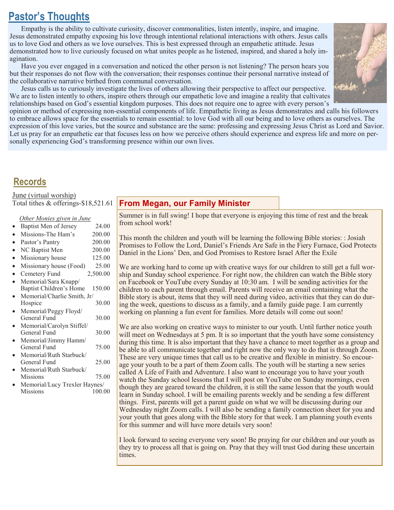# **Pastor's Thoughts**

Empathy is the ability to cultivate curiosity, discover commonalities, listen intently, inspire, and imagine. Jesus demonstrated empathy exposing his love through intentional relational interactions with others. Jesus calls us to love God and others as we love ourselves. This is best expressed through an empathetic attitude. Jesus demonstrated how to live curiously focused on what unites people as he listened, inspired, and shared a holy imagination.

Have you ever engaged in a conversation and noticed the other person is not listening? The person hears you but their responses do not flow with the conversation; their responses continue their personal narrative instead of the collaborative narrative birthed from communal conversation.

Jesus calls us to curiously investigate the lives of others allowing their perspective to affect our perspective. We are to listen intently to others, inspire others through our empathetic love and imagine a reality that cultivates relationships based on God's essential kingdom purposes. This does not require one to agree with every person's



opinion or method of expressing non-essential components of life. Empathetic living as Jesus demonstrates and calls his followers to embrace allows space for the essentials to remain essential: to love God with all our being and to love others as ourselves. The expression of this love varies, but the source and substance are the same: professing and expressing Jesus Christ as Lord and Savior. Let us pray for an empathetic ear that focuses less on how we perceive others should experience and express life and more on personally experiencing God's transforming presence within our own lives.

# **Records**

# June (virtual worship)

Total tithes & offerings-\$18,521.61

#### *Other Monies given in June*

| $\bullet$ | Baptist Men of Jersey | 24.00  |
|-----------|-----------------------|--------|
|           | Missions The Ham's    | 200.00 |

Missions-The Ham's 200.00 • Pastor's Pantry 200.00

| Pastor's Pantry                           | ZUU.     |
|-------------------------------------------|----------|
| $\mathbf{M} \cap \mathbf{D}$ $\mathbf{M}$ | $\Omega$ |

- NC Baptist Men 200.00
- Missionary house 125.00
- Missionary house (Food) 25.00
- Cemetery Fund 2,500.00 • Memorial/Sara Knapp/ Baptist Children's Home 150.00

|           | _  _                        |       |
|-----------|-----------------------------|-------|
| $\bullet$ | Memorial/Charlie Smith, Jr/ |       |
|           | Hospice                     | 30.00 |

- Memorial/Peggy Floyd/ General Fund 30.00
- Memorial/Carolyn Stiffel/ General Fund 30.00
- Memorial/Jimmy Hamm/ General Fund 75.00
- Memorial/Ruth Starbuck/ General Fund 25.00
- Memorial/Ruth Starbuck/ Missions 75.00
- Memorial/Lucy Trexler Haynes/<br>Missions 100.00 **Missions**

## **From Megan, our Family Minister**

Summer is in full swing! I hope that everyone is enjoying this time of rest and the break from school work!

This month the children and youth will be learning the following Bible stories: : Josiah Promises to Follow the Lord, Daniel's Friends Are Safe in the Fiery Furnace, God Protects Daniel in the Lions' Den, and God Promises to Restore Israel After the Exile

We are working hard to come up with creative ways for our children to still get a full worship and Sunday school experience. For right now, the children can watch the Bible story on Facebook or YouTube every Sunday at 10:30 am. I will be sending activities for the children to each parent through email. Parents will receive an email containing what the Bible story is about, items that they will need during video, activities that they can do during the week, questions to discuss as a family, and a family guide page. I am currently working on planning a fun event for families. More details will come out soon!

We are also working on creative ways to minister to our youth. Until further notice youth will meet on Wednesdays at 5 pm. It is so important that the youth have some consistency during this time. It is also important that they have a chance to meet together as a group and be able to all communicate together and right now the only way to do that is through Zoom. These are very unique times that call us to be creative and flexible in ministry. So encourage your youth to be a part of them Zoom calls. The youth will be starting a new series called A Life of Faith and Adventure. I also want to encourage you to have your youth watch the Sunday school lessons that I will post on YouTube on Sunday mornings, even though they are geared toward the children, it is still the same lesson that the youth would learn in Sunday school. I will be emailing parents weekly and be sending a few different things. First, parents will get a parent guide on what we will be discussing during our Wednesday night Zoom calls. I will also be sending a family connection sheet for you and your youth that goes along with the Bible story for that week. I am planning youth events for this summer and will have more details very soon!

I look forward to seeing everyone very soon! Be praying for our children and our youth as they try to process all that is going on. Pray that they will trust God during these uncertain times.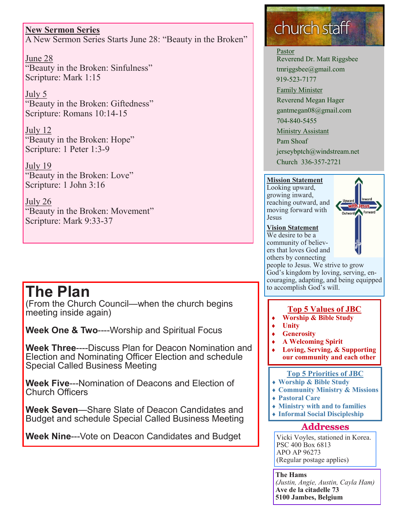# **New Sermon Series**

A New Sermon Series Starts June 28: "Beauty in the Broken"

June 28 "Beauty in the Broken: Sinfulness" Scripture: Mark 1:15

July 5 "Beauty in the Broken: Giftedness" Scripture: Romans 10:14-15

July 12 "Beauty in the Broken: Hope" Scripture: 1 Peter 1:3-9

July 19 "Beauty in the Broken: Love" Scripture: 1 John 3:16

July 26 "Beauty in the Broken: Movement" Scripture: Mark 9:33-37

# **The Plan**

(From the Church Council—when the church begins meeting inside again)

**Week One & Two**----Worship and Spiritual Focus

**Week Three**----Discuss Plan for Deacon Nomination and Election and Nominating Officer Election and schedule Special Called Business Meeting

**Week Five**---Nomination of Deacons and Election of Church Officers

**Week Seven**—Share Slate of Deacon Candidates and Budget and schedule Special Called Business Meeting

**Week Nine**---Vote on Deacon Candidates and Budget

# church staff

Pastor Reverend Dr. Matt Riggsbee tmriggsbee@gmail.com 919-523-7177

Family Minister

Reverend Megan Hager gantmegan08@gmail.com

704-840-5455

Ministry Assistant

Pam Shoaf

jerseybptch@windstream.net

Church 336-357-2721

### **Mission Statement**

Looking upward, growing inward, reaching outward, and moving forward with Jesus



#### **Vision Statement**

We desire to be a community of believers that loves God and others by connecting

people to Jesus. We strive to grow God's kingdom by loving, serving, encouraging, adapting, and being equipped to accomplish God's will.

## **Top 5 Values of JBC**

- **Worship & Bible Study**
- **Unity**
- **Generosity**
- **A Welcoming Spirit**
- **Loving, Serving, & Supporting our community and each other**

#### **Top 5 Priorities of JBC**

- **Worship & Bible Study**
- **Community Ministry & Missions**
- **Pastoral Care**
- **Ministry with and to families**
- **Informal Social Discipleship**

## **Addresses**

Vicki Voyles, stationed in Korea. PSC 400 Box 6813 APO AP 96273 (Regular postage applies)

**The Hams** *(Justin, Angie, Austin, Cayla Ham)* **Ave de la citadelle 73 5100 Jambes, Belgium**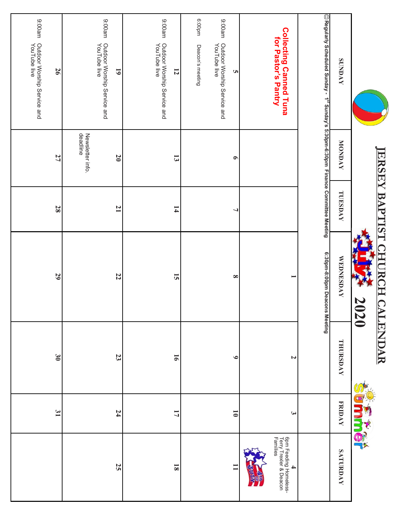|                                                                                                     |                                                | <b>IERSEY BAPT</b> | IST<br><b>CHURCH</b><br>2020  | <b>CALENDAR</b> |                      |                                                                      |
|-----------------------------------------------------------------------------------------------------|------------------------------------------------|--------------------|-------------------------------|-----------------|----------------------|----------------------------------------------------------------------|
| <b>SUNDAY</b>                                                                                       | <b>NONDAY</b>                                  | TUESDAY            | <b>WEDNESDAY</b>              | THURSDAY        | <b>FRIDAY</b>        | <b>SATURDAY</b>                                                      |
| $\copyright$ Regularly Scheduled Sunday - 1 $^{s_8}$ S.vapm-6:30pm-6:30pm Finance Committee Meeting |                                                |                    | 6:30pm-8:00pm Deacons Meeting |                 |                      |                                                                      |
| <b>Collecting Canned Tuna</b><br>for Pastor's Pantry                                                |                                                |                    |                               | $\mathbf{z}$    | یم                   | 6pm Feeding Homeless-<br>  Terry Trexler & Deacon<br>  Families<br>4 |
|                                                                                                     |                                                |                    |                               |                 |                      |                                                                      |
| ma00:6<br>Outdoor Worship Service and<br>YouTube live<br>$\overline{u}$                             | $\bullet$                                      | ┙                  | $\infty$                      | $\bullet$       | $\overline{\bullet}$ | $\Xi$                                                                |
| uudoo:9<br>Deacon's meeting                                                                         |                                                |                    |                               |                 |                      |                                                                      |
| 9:00am<br>Outdoor Worship Service and<br>YouTube live<br>$\overline{5}$                             | $\overline{\mathbf{c}}$                        | $\mathbf{1}$       | $\overline{5}$                | $\overline{9}$  | 17                   | $\overline{\mathbf{8}}$                                              |
| 9:00am<br>Outdoor Worship Service and<br>YouTube live<br>$\overline{61}$                            | Newsletter info.<br>deadline<br>$\overline{0}$ | $\overline{1}$     | 22                            | 23              | $\overline{54}$      | 52                                                                   |
| 9:00am<br>Outdoor Worship Service and<br>YouTube live<br>56                                         | 27                                             | 28                 | 29                            | $\mathfrak{g}$  | $\mathfrak{g}_1$     |                                                                      |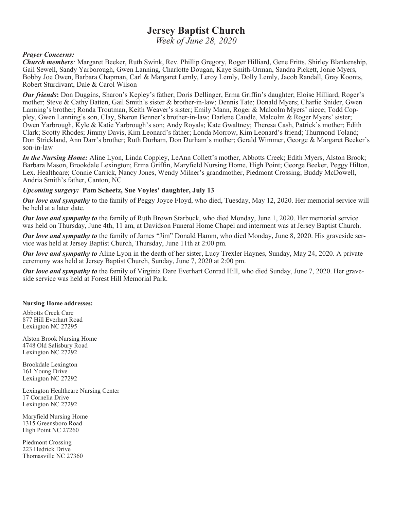# **Jersey Baptist Church**

*Week of June 28, 2020*

#### *Prayer Concerns:*

*Church members:* Margaret Beeker, Ruth Swink, Rev. Phillip Gregory, Roger Hilliard, Gene Fritts, Shirley Blankenship, Gail Sewell, Sandy Yarborough, Gwen Lanning, Charlotte Dougan, Kaye Smith-Orman, Sandra Pickett, Jonie Myers, Bobby Joe Owen, Barbara Chapman, Carl & Margaret Lemly, Leroy Lemly, Dolly Lemly, Jacob Randall, Gray Koonts, Robert Sturdivant, Dale & Carol Wilson

*Our friends***:** Don Duggins, Sharon's Kepley's father; Doris Dellinger, Erma Griffin's daughter; Eloise Hilliard, Roger's mother; Steve & Cathy Batten, Gail Smith's sister & brother-in-law; Dennis Tate; Donald Myers; Charlie Snider, Gwen Lanning's brother; Ronda Troutman, Keith Weaver's sister; Emily Mann, Roger & Malcolm Myers' niece; Todd Coppley, Gwen Lanning's son, Clay, Sharon Benner's brother-in-law; Darlene Caudle, Malcolm & Roger Myers' sister; Owen Yarbrough, Kyle & Katie Yarbrough's son; Andy Royals; Kate Gwaltney; Theresa Cash, Patrick's mother; Edith Clark; Scotty Rhodes; Jimmy Davis, Kim Leonard's father; Londa Morrow, Kim Leonard's friend; Thurmond Toland; Don Strickland, Ann Darr's brother; Ruth Durham, Don Durham's mother; Gerald Wimmer, George & Margaret Beeker's son-in-law

*In the Nursing Home:* Aline Lyon, Linda Coppley, LeAnn Collett's mother, Abbotts Creek; Edith Myers, Alston Brook; Barbara Mason, Brookdale Lexington; Erma Griffin, Maryfield Nursing Home, High Point; George Beeker, Peggy Hilton, Lex. Healthcare; Connie Carrick, Nancy Jones, Wendy Milner's grandmother, Piedmont Crossing; Buddy McDowell, Andria Smith's father, Canton, NC

#### *Upcoming surgery:* **Pam Scheetz, Sue Voyles' daughter, July 13**

*Our love and sympathy* to the family of Peggy Joyce Floyd, who died, Tuesday, May 12, 2020. Her memorial service will be held at a later date.

*Our love and sympathy to* the family of Ruth Brown Starbuck, who died Monday, June 1, 2020. Her memorial service was held on Thursday, June 4th, 11 am, at Davidson Funeral Home Chapel and interment was at Jersey Baptist Church.

*Our love and sympathy to* the family of James "Jim" Donald Hamm, who died Monday, June 8, 2020. His graveside service was held at Jersey Baptist Church, Thursday, June 11th at 2:00 pm.

*Our love and sympathy to* Aline Lyon in the death of her sister, Lucy Trexler Haynes, Sunday, May 24, 2020. A private ceremony was held at Jersey Baptist Church, Sunday, June 7, 2020 at 2:00 pm.

*Our love and sympathy to* the family of Virginia Dare Everhart Conrad Hill, who died Sunday, June 7, 2020. Her graveside service was held at Forest Hill Memorial Park.

#### **Nursing Home addresses:**

Abbotts Creek Care 877 Hill Everhart Road Lexington NC 27295

Alston Brook Nursing Home 4748 Old Salisbury Road Lexington NC 27292

Brookdale Lexington 161 Young Drive Lexington NC 27292

Lexington Healthcare Nursing Center 17 Cornelia Drive Lexington NC 27292

Maryfield Nursing Home 1315 Greensboro Road High Point NC 27260

Piedmont Crossing 223 Hedrick Drive Thomasville NC 27360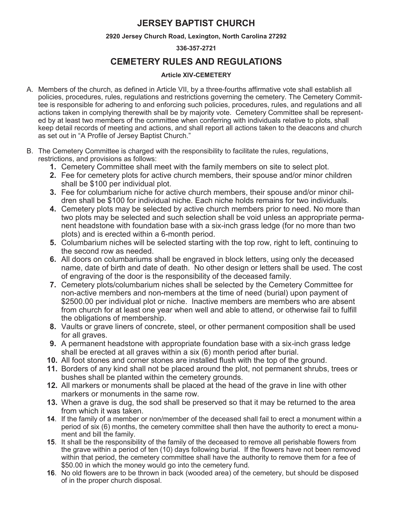# **JERSEY BAPTIST CHURCH**

#### **2920 Jersey Church Road, Lexington, North Carolina 27292**

#### **336-357-2721**

# **CEMETERY RULES AND REGULATIONS**

#### **Article XIV-CEMETERY**

- A. Members of the church, as defined in Article VII, by a three-fourths affirmative vote shall establish all policies, procedures, rules, regulations and restrictions governing the cemetery. The Cemetery Committee is responsible for adhering to and enforcing such policies, procedures, rules, and regulations and all actions taken in complying therewith shall be by majority vote. Cemetery Committee shall be represented by at least two members of the committee when conferring with individuals relative to plots, shall keep detail records of meeting and actions, and shall report all actions taken to the deacons and church as set out in "A Profile of Jersey Baptist Church."
- B. The Cemetery Committee is charged with the responsibility to facilitate the rules, regulations, restrictions, and provisions as follows:
	- **1.** Cemetery Committee shall meet with the family members on site to select plot.
	- **2.** Fee for cemetery plots for active church members, their spouse and/or minor children shall be \$100 per individual plot.
	- **3.** Fee for columbarium niche for active church members, their spouse and/or minor children shall be \$100 for individual niche. Each niche holds remains for two individuals.
	- **4.** Cemetery plots may be selected by active church members prior to need. No more than two plots may be selected and such selection shall be void unless an appropriate permanent headstone with foundation base with a six-inch grass ledge (for no more than two plots) and is erected within a 6-month period.
	- **5.** Columbarium niches will be selected starting with the top row, right to left, continuing to the second row as needed.
	- **6.** All doors on columbariums shall be engraved in block letters, using only the deceased name, date of birth and date of death. No other design or letters shall be used. The cost of engraving of the door is the responsibility of the deceased family.
	- **7.** Cemetery plots/columbarium niches shall be selected by the Cemetery Committee for non-active members and non-members at the time of need (burial) upon payment of \$2500.00 per individual plot or niche. Inactive members are members who are absent from church for at least one year when well and able to attend, or otherwise fail to fulfill the obligations of membership.
	- **8.** Vaults or grave liners of concrete, steel, or other permanent composition shall be used for all graves.
	- **9.** A permanent headstone with appropriate foundation base with a six-inch grass ledge shall be erected at all graves within a six (6) month period after burial.
	- **10.** All foot stones and corner stones are installed flush with the top of the ground.
	- **11.** Borders of any kind shall not be placed around the plot, not permanent shrubs, trees or bushes shall be planted within the cemetery grounds.
	- **12.** All markers or monuments shall be placed at the head of the grave in line with other markers or monuments in the same row.
	- **13.** When a grave is dug, the sod shall be preserved so that it may be returned to the area from which it was taken.
	- **14**. If the family of a member or non/member of the deceased shall fail to erect a monument within a period of six (6) months, the cemetery committee shall then have the authority to erect a monument and bill the family.
	- **15**. It shall be the responsibility of the family of the deceased to remove all perishable flowers from the grave within a period of ten (10) days following burial. If the flowers have not been removed within that period, the cemetery committee shall have the authority to remove them for a fee of \$50.00 in which the money would go into the cemetery fund.
	- **16**. No old flowers are to be thrown in back (wooded area) of the cemetery, but should be disposed of in the proper church disposal.